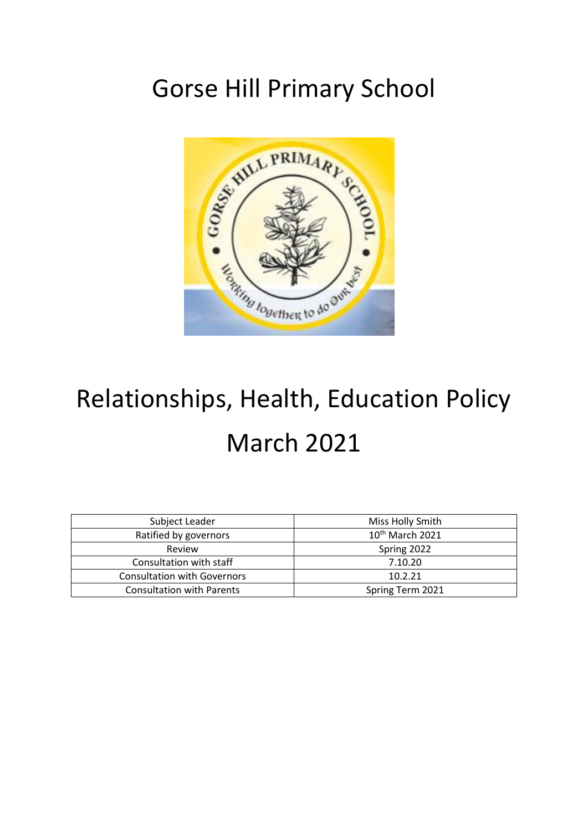# Gorse Hill Primary School



# Relationships, Health, Education Policy March 2021

| Subject Leader                     | Miss Holly Smith            |
|------------------------------------|-----------------------------|
| Ratified by governors              | 10 <sup>th</sup> March 2021 |
| Review                             | Spring 2022                 |
| Consultation with staff            | 7.10.20                     |
| <b>Consultation with Governors</b> | 10.2.21                     |
| <b>Consultation with Parents</b>   | Spring Term 2021            |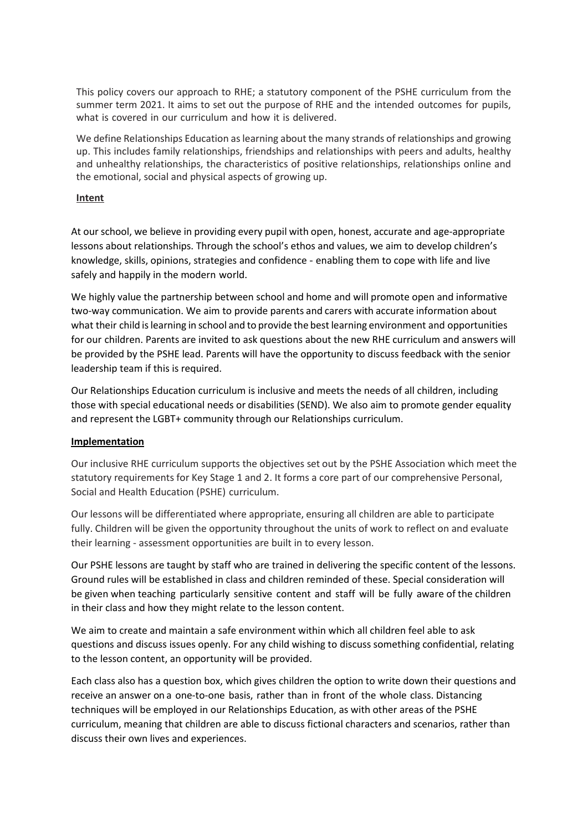This policy covers our approach to RHE; a statutory component of the PSHE curriculum from the summer term 2021. It aims to set out the purpose of RHE and the intended outcomes for pupils, what is covered in our curriculum and how it is delivered.

We define Relationships Education as learning about the many strands of relationships and growing up. This includes family relationships, friendships and relationships with peers and adults, healthy and unhealthy relationships, the characteristics of positive relationships, relationships online and the emotional, social and physical aspects of growing up.

# **Intent**

At our school, we believe in providing every pupil with open, honest, accurate and age-appropriate lessons about relationships. Through the school's ethos and values, we aim to develop children's knowledge, skills, opinions, strategies and confidence - enabling them to cope with life and live safely and happily in the modern world.

We highly value the partnership between school and home and will promote open and informative two-way communication. We aim to provide parents and carers with accurate information about what their child islearning in school and to provide the best learning environment and opportunities for our children. Parents are invited to ask questions about the new RHE curriculum and answers will be provided by the PSHE lead. Parents will have the opportunity to discuss feedback with the senior leadership team if this is required.

Our Relationships Education curriculum is inclusive and meets the needs of all children, including those with special educational needs or disabilities (SEND). We also aim to promote gender equality and represent the LGBT+ community through our Relationships curriculum.

# **Implementation**

Our inclusive RHE curriculum supports the objectives set out by the PSHE Association which meet the statutory requirements for Key Stage 1 and 2. It forms a core part of our comprehensive Personal, Social and Health Education (PSHE) curriculum.

Our lessons will be differentiated where appropriate, ensuring all children are able to participate fully. Children will be given the opportunity throughout the units of work to reflect on and evaluate their learning - assessment opportunities are built in to every lesson.

Our PSHE lessons are taught by staff who are trained in delivering the specific content of the lessons. Ground rules will be established in class and children reminded of these. Special consideration will be given when teaching particularly sensitive content and staff will be fully aware of the children in their class and how they might relate to the lesson content.

We aim to create and maintain a safe environment within which all children feel able to ask questions and discuss issues openly. For any child wishing to discuss something confidential, relating to the lesson content, an opportunity will be provided.

Each class also has a question box, which gives children the option to write down their questions and receive an answer on a one-to-one basis, rather than in front of the whole class. Distancing techniques will be employed in our Relationships Education, as with other areas of the PSHE curriculum, meaning that children are able to discuss fictional characters and scenarios, rather than discuss their own lives and experiences.